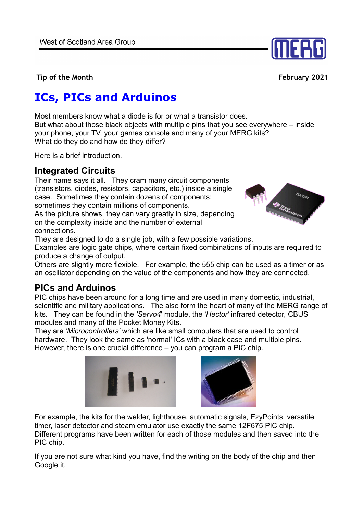

**Tip of the Month February 2021** 

# **ICs, PICs and Arduinos**

Most members know what a diode is for or what a transistor does. But what about those black objects with multiple pins that you see everywhere – inside your phone, your TV, your games console and many of your MERG kits? What do they do and how do they differ?

Here is a brief introduction.

#### **Integrated Circuits**

Their name says it all. They cram many circuit components (transistors, diodes, resistors, capacitors, etc.) inside a single case. Sometimes they contain dozens of components; sometimes they contain millions of components.

As the picture shows, they can vary greatly in size, depending on the complexity inside and the number of external connections.



They are designed to do a single job, with a few possible variations.

Examples are logic gate chips, where certain fixed combinations of inputs are required to produce a change of output.

Others are slightly more flexible. For example, the 555 chip can be used as a timer or as an oscillator depending on the value of the components and how they are connected.

#### **PICs and Arduinos**

PIC chips have been around for a long time and are used in many domestic, industrial, scientific and military applications. The also form the heart of many of the MERG range of kits. They can be found in the *'Servo4*' module, the *'Hector'* infrared detector, CBUS modules and many of the Pocket Money Kits.

They are *'Microcontrollers'* which are like small computers that are used to control hardware. They look the same as 'normal' ICs with a black case and multiple pins. However, there is one crucial difference – you can program a PIC chip.





For example, the kits for the welder, lighthouse, automatic signals, EzyPoints, versatile timer, laser detector and steam emulator use exactly the same 12F675 PIC chip. Different programs have been written for each of those modules and then saved into the PIC chip.

If you are not sure what kind you have, find the writing on the body of the chip and then Google it.